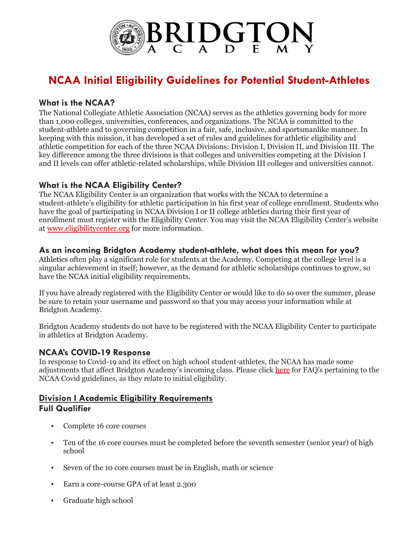

# **NCAA Initial Eligibility Guidelines for Potential Student-Athletes**

#### **What is the NCAA?**

The National Collegiate Athletic Association (NCAA) serves as the athletics governing body for more than 1,000 colleges, universities, conferences, and organizations. The NCAA is committed to the student-athlete and to governing competition in a fair, safe, inclusive, and sportsmanlike manner. In keeping with this mission, it has developed a set of rules and guidelines for athletic eligibility and athletic competition for each of the three NCAA Divisions: Division I, Division II, and Division III. The key difference among the three divisions is that colleges and universities competing at the Division I and II levels can offer athletic-related scholarships, while Division III colleges and universities cannot.

#### **What is the NCAA Eligibility Center?**

The NCAA Eligibility Center is an organization that works with the NCAA to determine a student-athlete's eligibility for athletic participation in his first year of college enrollment. Students who have the goal of participating in NCAA Division I or II college athletics during their first year of enrollment must register with the Eligibility Center. You may visit the NCAA Eligibility Center's website at [www.eligibilitycenter.org](http://www.eligibilitycenter.org/) for more information.

#### **As an incoming Bridgton Academy student-athlete, what does this mean for you?**

Athletics often play a significant role for students at the Academy. Competing at the college level is a singular achievement in itself; however, as the demand for athletic scholarships continues to grow, so have the NCAA initial eligibility requirements.

If you have already registered with the Eligibility Center or would like to do so over the summer, please be sure to retain your username and password so that you may access your information while at Bridgton Academy.

Bridgton Academy students do not have to be registered with the NCAA Eligibility Center to participate in athletics at Bridgton Academy.

# **NCAA's COVID-19 Response**

In response to Covid-19 and its effect on high school student-athletes, the NCAA has made some adjustments that affect Bridgton Academy's incoming class. Please click [here](http://fs.ncaa.org/Docs/eligibility_center/COVID19_Fall2022_Public.pdf) for FAQ's pertaining to the NCAA Covid guidelines, as they relate to initial eligibility.

#### **Division I Academic Eligibility Requirements Full Qualifier**

- Complete 16 core courses
- Ten of the 16 core courses must be completed before the seventh semester (senior year) of high school
- Seven of the 10 core courses must be in English, math or science
- Earn a core-course GPA of at least 2.300
- Graduate high school